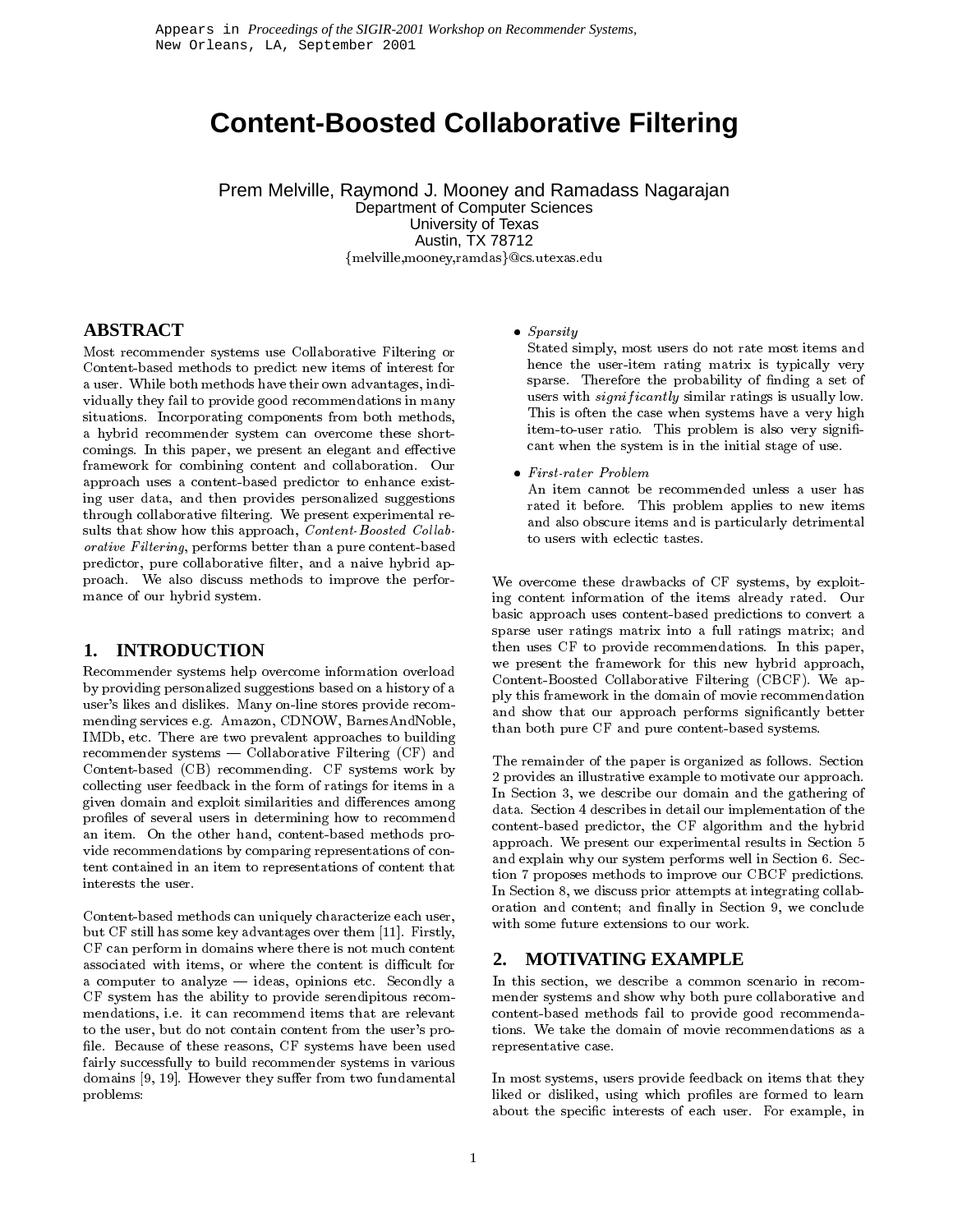# **Content-Boosted Collaborative Filtering**

Prem Melville, Raymond J. Mooney and Ramadass Nagarajan Department of Computer Sciences University of Texas Austin, TX 78712 {melville,mooney,ramdas}@cs.utexas.edu

# **ABSTRACT**

Most recommender systems use Collaborative Filtering or Content-based methods to predict new items of interest for a user. While both methods have their own advantages, individually they fail to provide good recommendations in many situations. Incorporating components from both methods, a hybrid recommender system can overcome these shortcomings. In this paper, we present an elegant and effective framework for combining content and collaboration. Our approach uses a content-based predictor to enhance existing user data, and then provides personalized suggestions through collaborative filtering. We present experimental results that show how this approach, Content-Boosted Collaborative Filtering, performs better than a pure content-based predictor, pure collaborative filter, and a naive hybrid approach. We also discuss methods to improve the performance of our hybrid system.

## **1. INTRODUCTION**

Recommender systems help overcome information overload by providing personalized suggestions based on a history of a user's likes and dislikes. Many on-line stores provide recommending services e.g. Amazon, CDNOW, BarnesAndNoble, IMDb, etc. There are two prevalent approaches to building recommender systems  $-$  Collaborative Filtering (CF) and Content-based (CB) recommending. CF systems work by collecting user feedback in the form of ratings for items in a given domain and exploit similarities and differences among profiles of several users in determining how to recommend an item. On the other hand, content-based methods provide recommendations by comparing representations of content contained in an item to representations of content that interests the user.

Content-based methods can uniquely characterize each user, but CF still has some key advantages over them [11]. Firstly, CF can perform in domains where there is not much content associated with items, or where the content is difficult for a computer to analyze  $-$  ideas, opinions etc. Secondly a CF system has the ability to provide serendipitous recommendations, i.e. it can recommend items that are relevant to the user, but do not contain content from the user's pro file. Because of these reasons, CF systems have been used fairly successfully to build recommender systems in various domains  $[9, 19]$ . However they suffer from two fundamental problems:

 $\bullet$  Sparsity

Stated simply, most users do not rate most items and hence the user-item rating matrix is typically very sparse. Therefore the probability of finding a set of users with *significantly* similar ratings is usually low. This is often the case when systems have a very high item-to-user ratio. This problem is also very significant when the system is in the initial stage of use.

 $\bullet$  First-rater Problem

An item cannot be recommended unless a user has rated it before. This problem applies to new items and also obscure items and is particularly detrimental to users with eclectic tastes.

We overcome these drawbacks of CF systems, by exploiting content information of the items already rated. Our basic approach uses content-based predictions to convert a sparse user ratings matrix into a full ratings matrix; and then uses CF to provide recommendations. In this paper, we present the framework for this new hybrid approach, Content-Boosted Collaborative Filtering (CBCF). We apply this framework in the domain of movie recommendation and show that our approach performs signicantly better than both pure CF and pure content-based systems.

The remainder of the paper is organized as follows. Section 2 provides an illustrative example to motivate our approach. In Section 3, we describe our domain and the gathering of data. Section 4 describes in detail our implementation of the content-based predictor, the CF algorithm and the hybrid approach. We present our experimental results in Section 5 and explain why our system performs well in Section 6. Section 7 proposes methods to improve our CBCF predictions. In Section 8, we discuss prior attempts at integrating collaboration and content; and finally in Section 9, we conclude with some future extensions to our work.

# **2. MOTIVATING EXAMPLE**

In this section, we describe a common scenario in recom mender systems and show why both pure collaborative and content-based methods fail to provide good recommendations. We take the domain of movie recommendations as a representative case.

In most systems, users provide feedback on items that they liked or disliked, using which profiles are formed to learn about the specic interests of each user. For example, in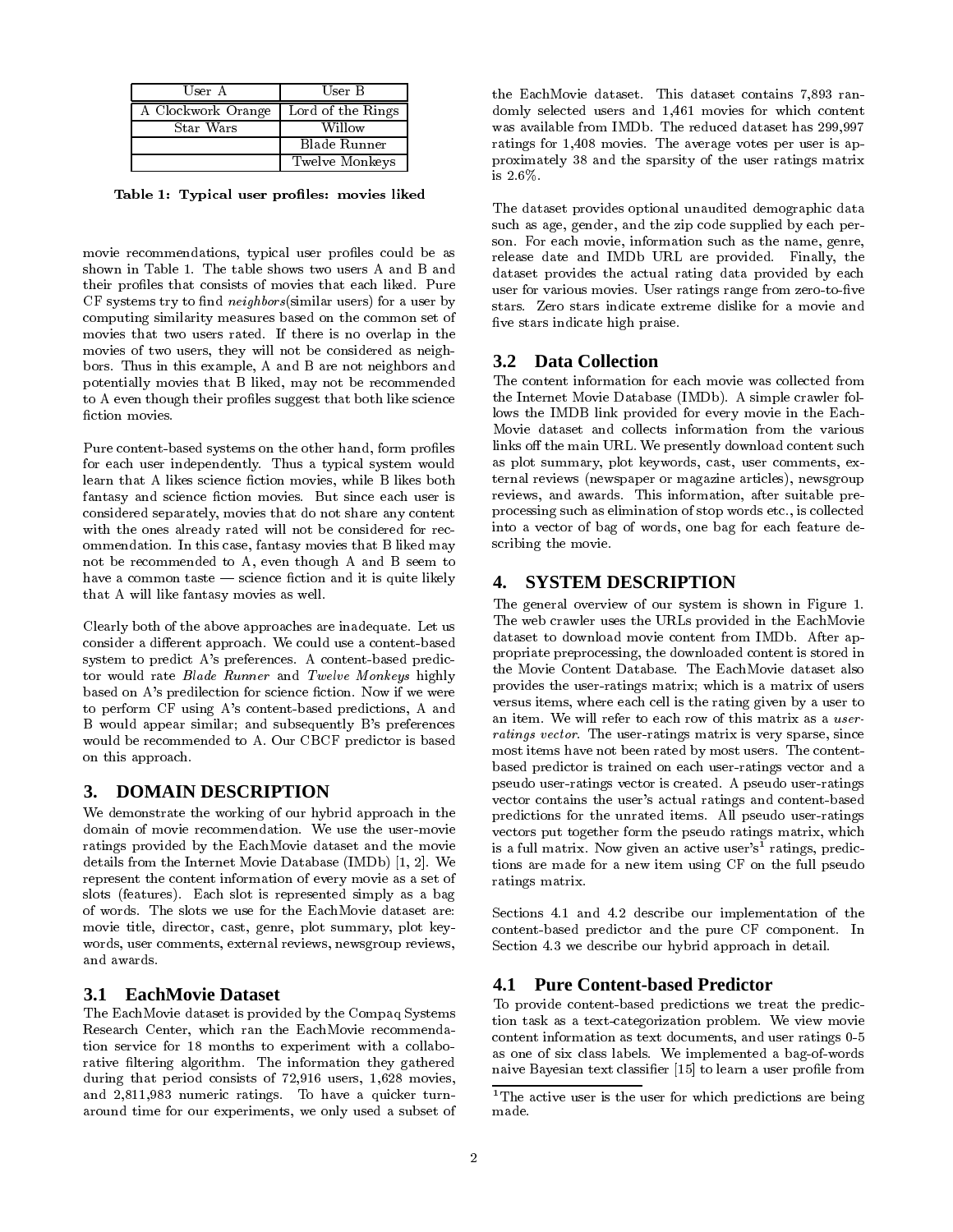| User A             | User B            |
|--------------------|-------------------|
| A Clockwork Orange | Lord of the Rings |
| Star Wars          | Willow            |
|                    | Blade Runner      |
|                    | Twelve Monkeys    |

Table 1: Typical user profiles: movies liked

movie recommendations, typical user profiles could be as shown in Table 1. The table shows two users A and B and their profiles that consists of movies that each liked. Pure  $CF$  systems try to find *neighbors*(similar users) for a user by computing similarity measures based on the common set of movies that two users rated. If there is no overlap in the movies of two users, they will not be considered as neighbors. Thus in this example, A and B are not neighbors and potentially movies that B liked, may not be recommended to A even though their profiles suggest that both like science

Pure content-based systems on the other hand, form proles for each user independently. Thus a typical system would learn that A likes science fiction movies, while B likes both fantasy and science fiction movies. But since each user is considered separately, movies that do not share any content with the ones already rated will not be considered for recommendation. In this case, fantasy movies that B liked may not be recommended to A, even though A and B seem to have a common taste  $-$  science fiction and it is quite likely that A will like fantasy movies as well.

Clearly both of the above approaches are inadequate. Let us consider a different approach. We could use a content-based system to predict A's preferences. A content-based predictor would rate Blade Runner and Twelve Monkeys highly based on A's predilection for science fiction. Now if we were to perform CF using A's content-based predictions, A and B would appear similar; and subsequently B's preferences would be recommended to A. Our CBCF predictor is based on this approach.

## **3. DOMAIN DESCRIPTION**

We demonstrate the working of our hybrid approach in the domain of movie recommendation. We use the user-movie ratings provided by the EachMovie dataset and the movie details from the Internet Movie Database (IMDb) [1, 2]. We represent the content information of every movie as a set of slots (features). Each slot is represented simply as a bag of words. The slots we use for the EachMovie dataset are: movie title, director, cast, genre, plot summary, plot key words, user comments, external reviews, newsgroup reviews, and awards.

#### **3.1 EachMovie Dataset**

The EachMovie dataset is provided by the Compaq Systems Research Center, which ran the EachMovie recommendation service for 18 months to experiment with a collaborative filtering algorithm. The information they gathered during that period consists of 72,916 users, 1,628 movies, and 2,811,983 numeric ratings. To have a quicker turnaround time for our experiments, we only used a subset of the EachMovie dataset. This dataset contains 7,893 ran domly selected users and 1,461 movies for which content was available from IMDb. The reduced dataset has 299,997 ratings for 1,408 movies. The average votes per user is approximately 38 and the sparsity of the user ratings matrix is 2.6%.

The dataset provides optional unaudited demographic data such as age, gender, and the zip code supplied by each per son. For each movie, information such as the name, genre, release date and IMDb URL are provided. Finally, the dataset provides the actual rating data provided by each user for various movies. User ratings range from zero-to-five stars. Zero stars indicate extreme dislike for a movie and five stars indicate high praise.

#### **3.2 Data Collection**

The content information for each movie was collected from the Internet Movie Database (IMDb). A simple crawler follows the IMDB link provided for every movie in the Each-Movie dataset and collects information from the various links off the main URL. We presently download content such as plot summary, plot keywords, cast, user comments, external reviews (newspaper or magazine articles), newsgroup reviews, and awards. This information, after suitable preprocessing such as elimination of stop words etc., is collected into a vector of bag of words, one bag for each feature describing the movie.

## **4. SYSTEM DESCRIPTION**

The general overview of our system is shown in Figure 1. The web crawler uses the URLs provided in the EachMovie dataset to download movie content from IMDb. After appropriate preprocessing, the downloaded content is stored in the Movie Content Database. The EachMovie dataset also provides the user-ratings matrix; which is a matrix of users versus items, where each cell is the rating given by a user to an item. We will refer to each row of this matrix as a user ratings vector. The user-ratings matrix is very sparse, since most items have not been rated by most users. The contentbased predictor is trained on each user-ratings vector and a pseudo user-ratings vector is created. A pseudo user-ratings vector contains the user's actual ratings and content-based predictions for the unrated items. All pseudo user-ratings vectors put together form the pseudo ratings matrix, which is a full matrix. Now given an active user's' ratings, predictions are made for a new item using CF on the full pseudo ratings matrix.

Sections 4.1 and 4.2 describe our implementation of the content-based predictor and the pure CF component. In Section 4.3 we describe our hybrid approach in detail.

## **4.1 Pure Content-based Predictor**

To provide content-based predictions we treat the prediction task as a text-categorization problem. We view movie content information as text documents, and user ratings 0-5 as one of six class labels. We implemented a bag-of-words naive Bayesian text classifier [15] to learn a user profile from

<sup>&</sup>lt;sup>1</sup>The active user is the user for which predictions are being made.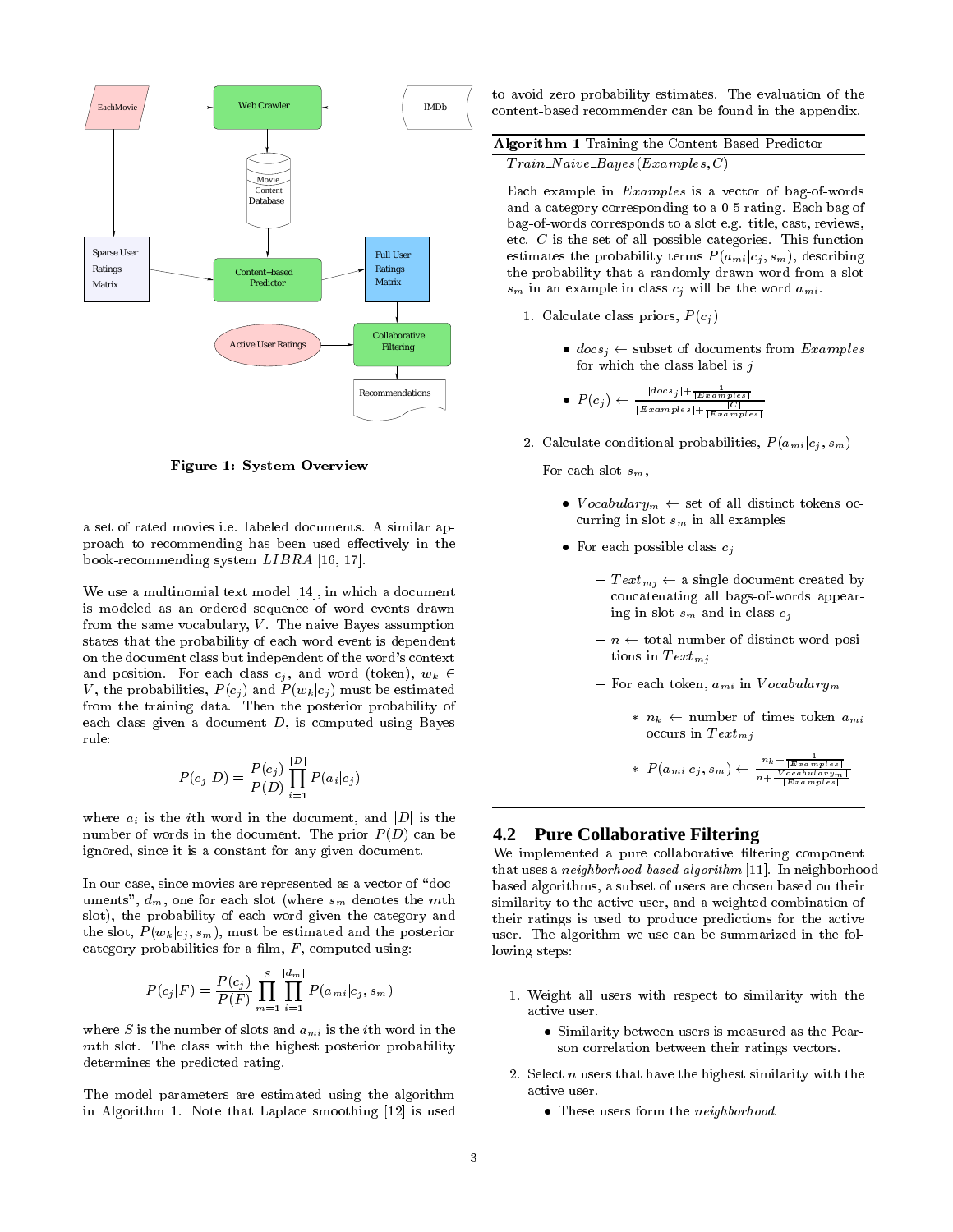

Figure 1: System Overview

a set of rated movies i.e. labeled documents. A similar approach to recommending has been used effectively in the book-recommending system LIBRA [16, 17].

We use a multinomial text model [14], in which a document is modeled as an ordered sequence of word events drawn from the same vocabulary,  $V$ . The naive Bayes assumption states that the probability of each word event is dependent on the document class but independent of the word's context and position. For each class  $c_j$ , and word (token),  $w_k \in$ V, the probabilities,  $P(c_j)$  and  $P(w_k|c_j)$  must be estimated from the training data. Then the posterior probability of each class given a document  $D$ , is computed using Bayes rule:

$$
P(c_j|D) = \frac{P(c_j)}{P(D)}\prod_{i=1}^{|D|} P(a_i|c_j)
$$

where  $a_i$  is the *i*th word in the document, and  $|D|$  is the number of words in the document. The prior  $P(D)$  can be ignored, since it is a constant for any given document.

In our case, since movies are represented as a vector of "documents",  $d_m$ , one for each slot (where  $s_m$  denotes the mth slot), the probability of each word given the category and the slot,  $P(w_k|c_i, s_m)$ , must be estimated and the posterior category probabilities for a film,  $F$ , computed using:

$$
P(c_j|F) = \frac{P(c_j)}{P(F)} \prod_{m=1}^{S} \prod_{i=1}^{|d_m|} P(a_{mi}|c_j, s_m)
$$

where S is the number of slots and  $a_{mi}$  is the *i*th word in the mth slot. The class with the highest posterior probability determines the predicted rating.

The model parameters are estimated using the algorithm in Algorithm 1. Note that Laplace smoothing [12] is used to avoid zero probability estimates. The evaluation of the content-based recommender can be found in the appendix.

| <b>Algorithm 1</b> Training the Content-Based Predictor |  |
|---------------------------------------------------------|--|
| $Train\_Naive\_Bayes(Examples, C)$                      |  |

Each example in Examples is a vector of bag-of-words and a category corresponding to a 0-5 rating. Each bag of bag-of-words corresponds to a slot e.g. title, cast, reviews, etc.  $C$  is the set of all possible categories. This function estimates the probability terms  $P(a_{mi}|c_j, s_m)$ , describing the probability that a randomly drawn word from a slot  $s_m$  in an example in class  $c_j$  will be the word  $a_{mi}$ .

- 1. Calculate class priors,  $P(c_j)$ 
	- $\bullet$  docs,  $\leftarrow$  subset of documents from Examples for which the class label is  $j$

$$
\bullet \ \ P(c_j) \leftarrow \frac{|_{docs_j| + \frac{1}{|E\cdot\text{samples}|}}}{|E\cdot\text{samples}| + \frac{|C|}{|E\cdot\text{samples}|}}
$$

2. Calculate conditional probabilities,  $P(a_{mi} | c_j, s_m)$ 

For each slot  $s_m$ .

- $\bullet$  *V* ocabulary $_m$   $\leftarrow$  set of all distinct tokens occurring in slot  $s_m$  in all examples
- $\bullet$  For each possible class  $c_j$ 
	- $\text{ } Text_{mj} \leftarrow$  a single document created by concatenating all bags-of-words appearing in slot  $s_m$  and in class  $c_j$
	- ${-}$  n  ${\leftarrow}$  total number of distinct word positions in  $Text_{mi}$
	- $-$  For each token,  $a_{mi}$  in  $Vocabulary_m$ 
		- \*  $n_k$   $\leftarrow$  number of times token  $a_{mi}$ occurs in  $Text_{mi}$

\* 
$$
P(a_{mi}|c_j, s_m) \leftarrow \frac{n_k + \frac{1}{|Examples|}}{n + \frac{|V_{ocability}}{|Examples|}}
$$

## **4.2 Pure Collaborative Filtering**

We implemented a pure collaborative filtering component that uses a neighborhood-based algorithm [11]. In neighborhoodbased algorithms, a subset of users are chosen based on their similarity to the active user, and a weighted combination of their ratings is used to produce predictions for the active user. The algorithm we use can be summarized in the following steps:

- 1. Weight all users with respect to similarity with the active user.
	- Similarity between users is measured as the Pear son correlation between their ratings vectors.
- 2. Select  $n$  users that have the highest similarity with the active user.
	- $\bullet$  These users form the  $neq$  neighborhood.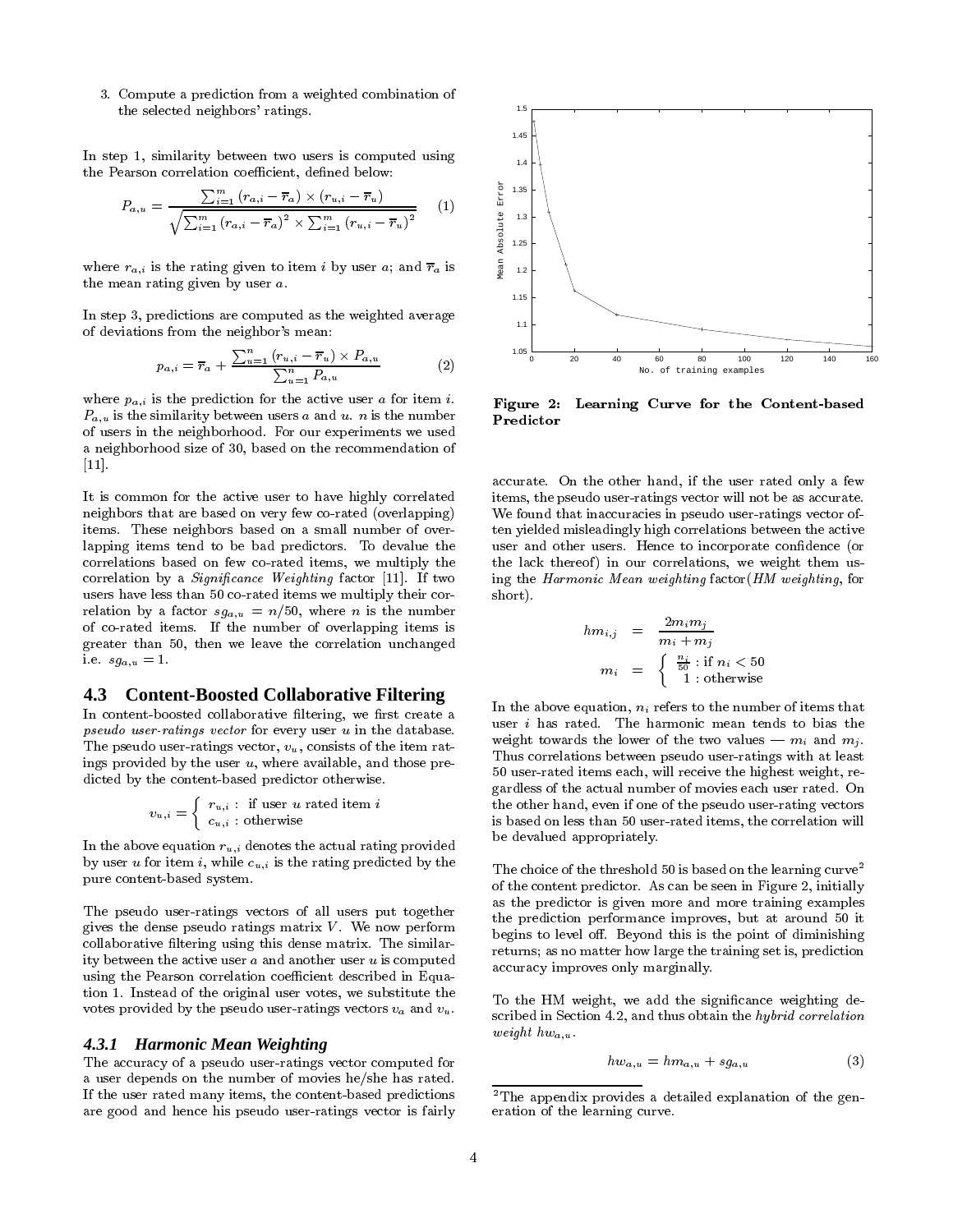3. Compute a prediction from a weighted combination of the selected neighbors' ratings.

In step 1, similarity between two users is computed using the Pearson correlation coefficient, defined below:

$$
P_{a,u} = \frac{\sum_{i=1}^{m} (r_{a,i} - \overline{r}_a) \times (r_{u,i} - \overline{r}_u)}{\sqrt{\sum_{i=1}^{m} (r_{a,i} - \overline{r}_a)^2 \times \sum_{i=1}^{m} (r_{u,i} - \overline{r}_u)^2}}
$$
(1)

where  $r_{a,i}$  is the rating given to item i by user a; and  $\overline{r}_a$  is  $\lim_{\frac{a}{s}}$ the mean rating given by user a.

In step 3, predictions are computed as the weighted average of deviations from the neighbor's mean:

$$
p_{a,i} = \overline{r}_a + \frac{\sum_{u=1}^{n} (r_{u,i} - \overline{r}_u) \times P_{a,u}}{\sum_{u=1}^{n} P_{a,u}}
$$
(2)

where  $p_{a,i}$  is the prediction for the active user a for item *i*.  $P_{a,u}$  is the similarity between users a and u. n is the number of users in the neighborhood. For our experiments we used a neighborhood size of 30, based on the recommendation of [11].

It is common for the active user to have highly correlated neighbors that are based on very few co-rated (overlapping) items. These neighbors based on a small number of overlapping items tend to be bad predictors. To devalue the correlations based on few co-rated items, we multiply the correlation by a *Significance Weighting* factor [11]. If two users have less than 50 co-rated items we multiply their correlation by a factor  $sg_{a,u} = n/50$ , where n is the number of co-rated items. If the number of overlapping items is greater than 50, then we leave the correlation unchanged i.e.  $sg_{a,u} = 1$ .

#### **4.3 Content-Boosted Collaborative Filtering**

In content-boosted collaborative filtering, we first create a pseudo user-ratings vector for every user u in the database. The pseudo user-ratings vector,  $v<sub>u</sub>$ , consists of the item ratings provided by the user  $u$ , where available, and those predicted by the content-based predictor otherwise.

$$
v_{u,i} = \left\{ \begin{array}{l} r_{u,i} \, : \, \text{ if user } u \text{ rated item } i \\ c_{u,i} \, : \text{ otherwise } \end{array} \right.
$$

In the above equation  $r_{u,i}$  denotes the actual rating provided by user u for item i, while  $c_{u,i}$  is the rating predicted by the pure content-based system.

The pseudo user-ratings vectors of all users put together gives the dense pseudo ratings matrix  $V$ . We now perform collaborative filtering using this dense matrix. The similarity between the active user  $a$  and another user  $u$  is computed using the Pearson correlation coefficient described in Equation 1. Instead of the original user votes, we substitute the votes provided by the pseudo user-ratings vectors  $v_a$  and  $v_u$ .

#### *4.3.1 Harmonic Mean Weighting*

The accuracy of a pseudo user-ratings vector computed for a user depends on the number of movies he/she has rated. If the user rated many items, the content-based predictions are good and hence his pseudo user-ratings vector is fairly



Figure 2: Learning Curve for the Content-based Predictor

accurate. On the other hand, if the user rated only a few items, the pseudo user-ratings vector will not be as accurate. We found that inaccuracies in pseudo user-ratings vector often yielded misleadingly high correlations between the active user and other users. Hence to incorporate condence (or the lack thereof) in our correlations, we weight them using the Harmonic Mean weighting factor(HM weighting, for short).

$$
\begin{array}{rcl} hm_{i,j} & = & \displaystyle \frac{2m_im_j}{m_i+m_j} \\ m_i & = & \left\{ \begin{array}{r} \frac{n_i}{50} \, : \, \text{if} \; n_i < 50 \\ 1 \, : \, \text{otherwise} \end{array} \right. \end{array}
$$

 $\overline{1}$ 

In the above equation,  $n_i$  refers to the number of items that user i has rated. The harmonic mean tends to bias the weight towards the lower of the two values  $-m_i$  and  $m_j$ . Thus correlations between pseudo user-ratings with at least 50 user-rated items each, will receive the highest weight, regardless of the actual number of movies each user rated. On the other hand, even if one of the pseudo user-rating vectors is based on less than 50 user-rated items, the correlation will be devalued appropriately.

The choice of the threshold 50 is based on the learning curve  $\overline{\phantom{a}}$ of the content predictor. As can be seen in Figure 2, initially as the predictor is given more and more training examples the prediction performance improves, but at around 50 it begins to level off. Beyond this is the point of diminishing returns; as no matter how large the training set is, prediction accuracy improves only marginally.

To the HM weight, we add the signicance weighting described in Section 4.2, and thus obtain the hybrid correlation weight  $hw_{a,u}$ .

$$
hw_{a,u} = hm_{a,u} + sg_{a,u} \tag{3}
$$

<sup>&</sup>lt;sup>2</sup>The appendix provides a detailed explanation of the generation of the learning curve.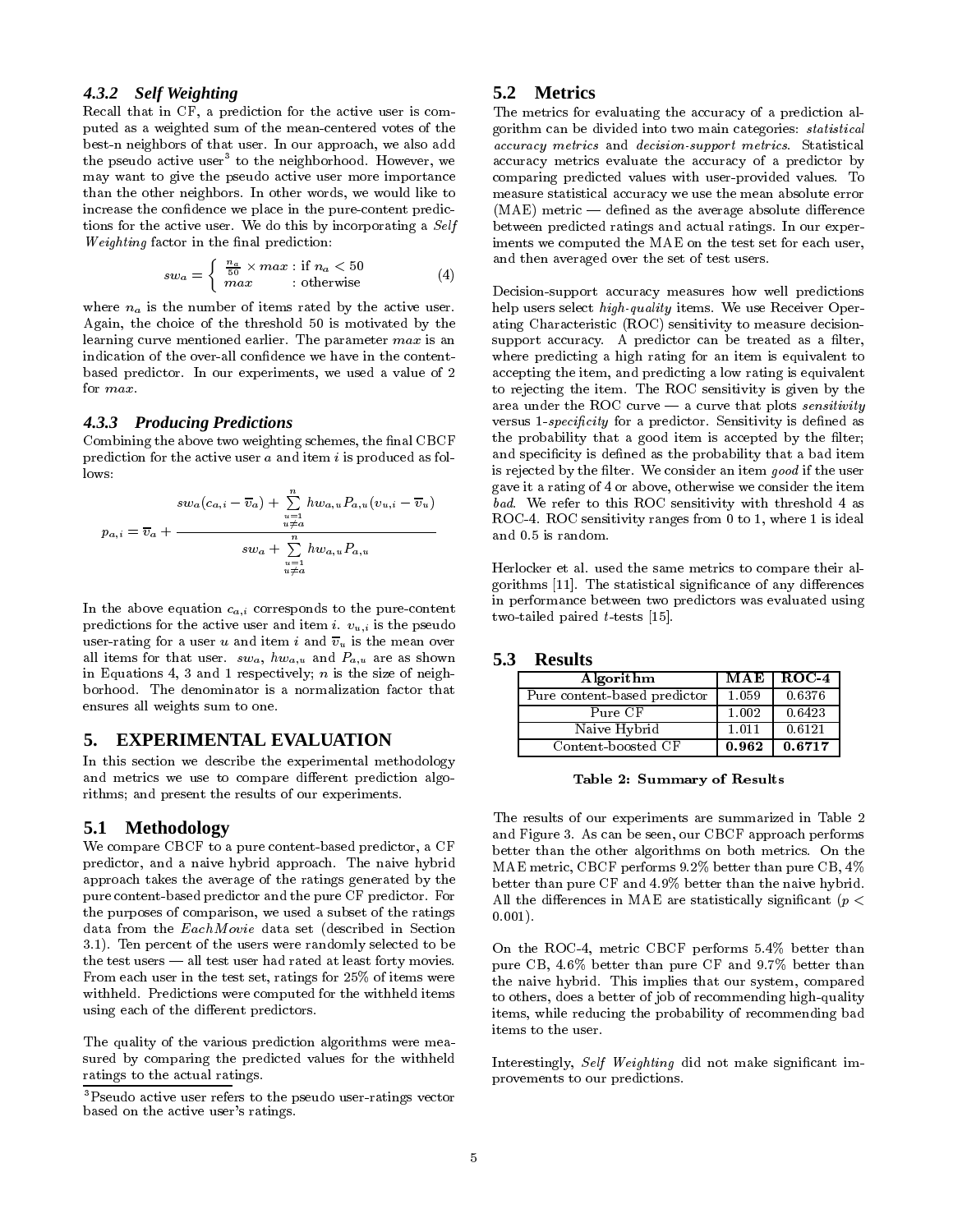#### *4.3.2 Self Weighting*

Recall that in CF, a prediction for the active user is computed as a weighted sum of the mean-centered votes of the best-n neighbors of that user. In our approach, we also add the pseudo active user to the neighborhood. However, we a may want to give the pseudo active user more importance than the other neighbors. In other words, we would like to increase the confidence we place in the pure-content predictions for the active user. We do this by incorporating a Self  $We *identity* factor in the final prediction:$ 

$$
sw_a = \begin{cases} \frac{n_a}{50} \times max : \text{if } n_a < 50\\ \text{max} & : \text{otherwise} \end{cases} \tag{4}
$$

where  $n_a$  is the number of items rated by the active user. Again, the choice of the threshold 50 is motivated by the learning curve mentioned earlier. The parameter max is an indication of the over-all confidence we have in the contentbased predictor. In our experiments, we used a value of 2 for max.

#### *4.3.3 Producing Predictions*

Combining the above two weighting schemes, the final CBCF prediction for the active user  $a$  and item  $i$  is produced as fol- $_{\text{rows}}$ 

$$
p_{a,i} = \overline{v}_a + \frac{\sum\limits_{u=1}^{n} hw_{a,u}P_{a,u}(v_{u,i} - \overline{v}_u)}{sw_a + \sum\limits_{u=1}^{n} hw_{a,u}P_{a,u}}
$$

In the above equation  $c_{a,i}$  corresponds to the pure-content predictions for the active user and item i.  $v_{u,i}$  is the pseudo user-rating for a user u and item i and  $\overline{v}_u$  is the mean over all items for that user.  $sw_a$ ,  $hw_{a,u}$  and  $P_{a,u}$  are as shown in Equations 4, 3 and 1 respectively;  $n$  is the size of neighborhood. The denominator is a normalization factor that ensures all weights sum to one.

# **5. EXPERIMENTAL EVALUATION**

In this section we describe the experimental methodology and metrics we use to compare different prediction algorithms; and present the results of our experiments.

#### **5.1 Methodology**

We compare CBCF to a pure content-based predictor, a CF predictor, and a naive hybrid approach. The naive hybrid approach takes the average of the ratings generated by the pure content-based predictor and the pure CF predictor. For the purposes of comparison, we used a subset of the ratings data from the EachM ovie data set (described in Section 3.1). Ten percent of the users were randomly selected to be the test users  $-$  all test user had rated at least forty movies. From each user in the test set, ratings for 25% of items were withheld. Predictions were computed for the withheld items using each of the different predictors.

The quality of the various prediction algorithms were mea sured by comparing the predicted values for the withheld ratings to the actual ratings.

#### **5.2 Metrics**

The metrics for evaluating the accuracy of a prediction algorithm can be divided into two main categories: statistical accuracy metrics and decision-support metrics. Statistical accuracy metrics evaluate the accuracy of a predictor by comparing predicted values with user-provided values. To measure statistical accuracy we use the mean absolute error  $(MAE)$  metric — defined as the average absolute difference between predicted ratings and actual ratings. In our experiments we computed the MAE on the test set for each user, and then averaged over the set of test users.

Decision-support accuracy measures how well predictions help users select high-quality items. We use Receiver Operating Characteristic (ROC) sensitivity to measure decisionsupport accuracy. A predictor can be treated as a filter, where predicting a high rating for an item is equivalent to accepting the item, and predicting a low rating is equivalent to rejecting the item. The ROC sensitivity is given by the area under the ROC curve  $-$  a curve that plots *sensitivity* versus 1-specificity for a predictor. Sensitivity is defined as the probability that a good item is accepted by the filter; and specificity is defined as the probability that a bad item is rejected by the filter. We consider an item good if the user gave it a rating of 4 or above, otherwise we consider the item bad. We refer to this ROC sensitivity with threshold 4 as ROC-4. ROC sensitivity ranges from 0 to 1, where 1 is ideal and 0.5 is random.

Herlocker et al. used the same metrics to compare their algorithms [11]. The statistical significance of any differences in performance between two predictors was evaluated using two-tailed paired  $t$ -tests [15].

#### **5.3 Results**

| Algorithm                    | MAE        | $ROC-4$ |
|------------------------------|------------|---------|
| Pure content-based predictor | 1.059      | 0.6376  |
| Pure CF                      | 1.002      | 0.6423  |
| Naive Hybrid                 | 1.011      | 0.6121  |
| Content-boosted CF           | $\bf0.962$ | 10.6717 |

Table 2: Summary of Results

The results of our experiments are summarized in Table 2 and Figure 3. As can be seen, our CBCF approach performs better than the other algorithms on both metrics. On the MAE metric, CBCF performs 9.2% better than pure CB, 4% better than pure CF and 4.9% better than the naive hybrid. All the differences in MAE are statistically significant ( $p <$ 0:001).

On the ROC-4, metric CBCF performs 5.4% better than pure CB, 4.6% better than pure CF and 9.7% better than the naive hybrid. This implies that our system, compared to others, does a better of job of recommending high-quality items, while reducing the probability of recommending bad items to the user.

Interestingly, Self Weighting did not make significant improvements to our predictions.

<sup>3</sup>Pseudo active user refers to the pseudo user-ratings vector based on the active user's ratings.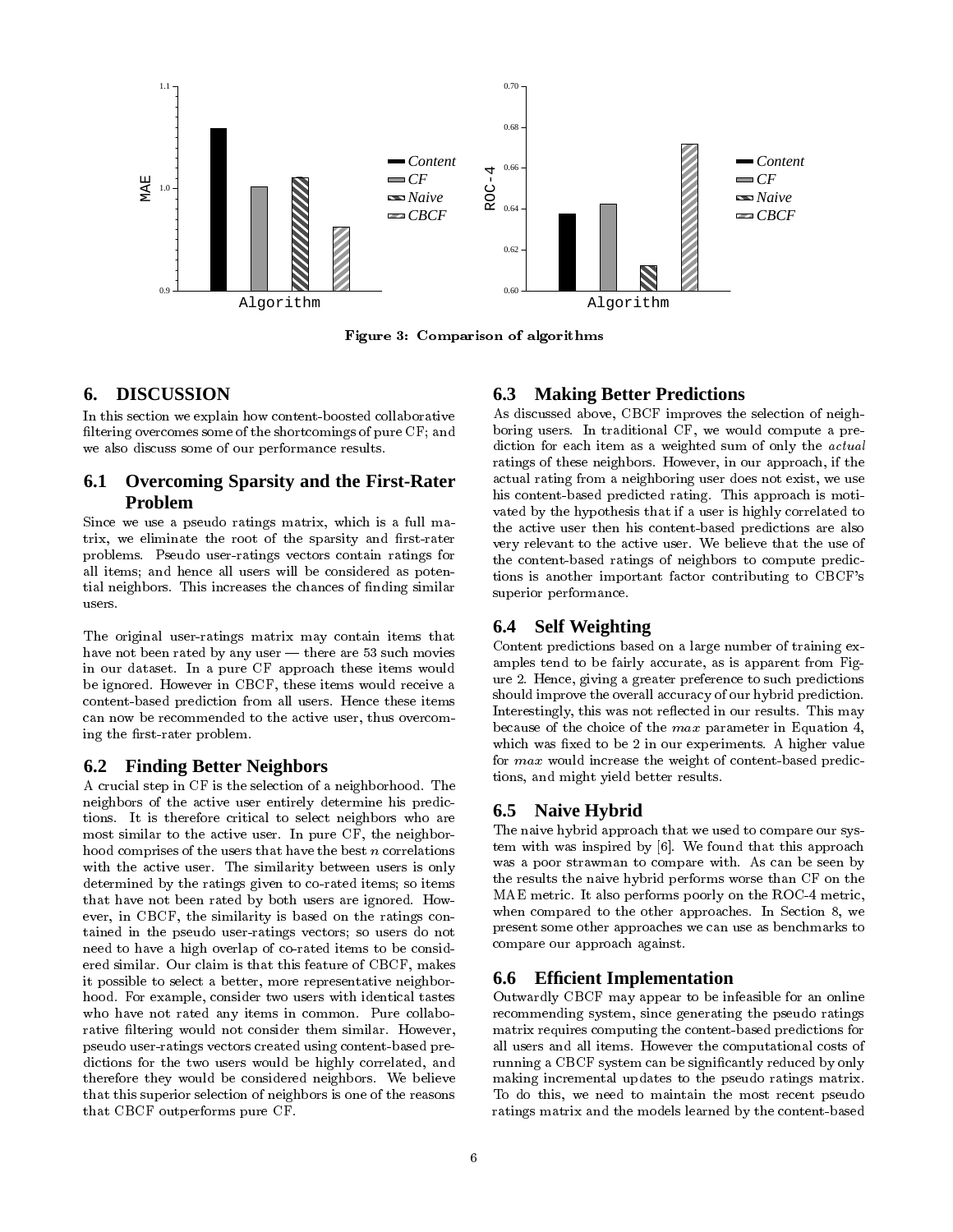

Figure 3: Comparison of algorithms

# **6. DISCUSSION**

In this section we explain how content-boosted collaborative filtering overcomes some of the shortcomings of pure CF; and we also discuss some of our performance results.

## **6.1 Overcoming Sparsity and the First-Rater Problem**

Since we use a pseudo ratings matrix, which is a full ma trix, we eliminate the root of the sparsity and first-rater problems. Pseudo user-ratings vectors contain ratings for all items; and hence all users will be considered as potential neighbors. This increases the chances of nding similar users

The original user-ratings matrix may contain items that have not been rated by any user  $-$  there are 53 such movies in our dataset. In a pure CF approach these items would be ignored. However in CBCF, these items would receive a content-based prediction from all users. Hence these items can now be recommended to the active user, thus overcoming the first-rater problem.

#### **6.2 Finding Better Neighbors**

A crucial step in CF is the selection of a neighborhood. The neighbors of the active user entirely determine his predictions. It is therefore critical to select neighbors who are most similar to the active user. In pure CF, the neighborhood comprises of the users that have the best  $n$  correlations with the active user. The similarity between users is only determined by the ratings given to co-rated items; so items that have not been rated by both users are ignored. How ever, in CBCF, the similarity is based on the ratings contained in the pseudo user-ratings vectors; so users do not need to have a high overlap of co-rated items to be considered similar. Our claim is that this feature of CBCF, makes it possible to select a better, more representative neighborhood. For example, consider two users with identical tastes who have not rated any items in common. Pure collaborative filtering would not consider them similar. However, pseudo user-ratings vectors created using content-based predictions for the two users would be highly correlated, and therefore they would be considered neighbors. We believe that this superior selection of neighbors is one of the reasons that CBCF outperforms pure CF.

## **6.3 Making Better Predictions**

As discussed above, CBCF improves the selection of neighboring users. In traditional CF, we would compute a prediction for each item as a weighted sum of only the *actual* ratings of these neighbors. However, in our approach, if the actual rating from a neighboring user does not exist, we use his content-based predicted rating. This approach is moti vated by the hypothesis that if a user is highly correlated to the active user then his content-based predictions are also very relevant to the active user. We believe that the use of the content-based ratings of neighbors to compute predictions is another important factor contributing to CBCF's superior performance.

## **6.4 Self Weighting**

Content predictions based on a large number of training examples tend to be fairly accurate, as is apparent from Figure 2. Hence, giving a greater preference to such predictions should improve the overall accuracy of our hybrid prediction. Interestingly, this was not reflected in our results. This may because of the choice of the max parameter in Equation 4, which was fixed to be 2 in our experiments. A higher value for max would increase the weight of content-based predictions, and might yield better results.

## **6.5 Naive Hybrid**

The naive hybrid approach that we used to compare our system with was inspired by [6]. We found that this approach was a poor strawman to compare with. As can be seen by the results the naive hybrid performs worse than CF on the MAE metric. It also performs poorly on the ROC-4 metric, when compared to the other approaches. In Section 8, we present some other approaches we can use as benchmarks to compare our approach against.

#### **6.6 Efficient Implementation**

Outwardly CBCF may appear to be infeasible for an online recommending system, since generating the pseudo ratings matrix requires computing the content-based predictions for all users and all items. However the computational costs of running a CBCF system can be signicantly reduced by only making incremental updates to the pseudo ratings matrix. To do this, we need to maintain the most recent pseudo ratings matrix and the models learned by the content-based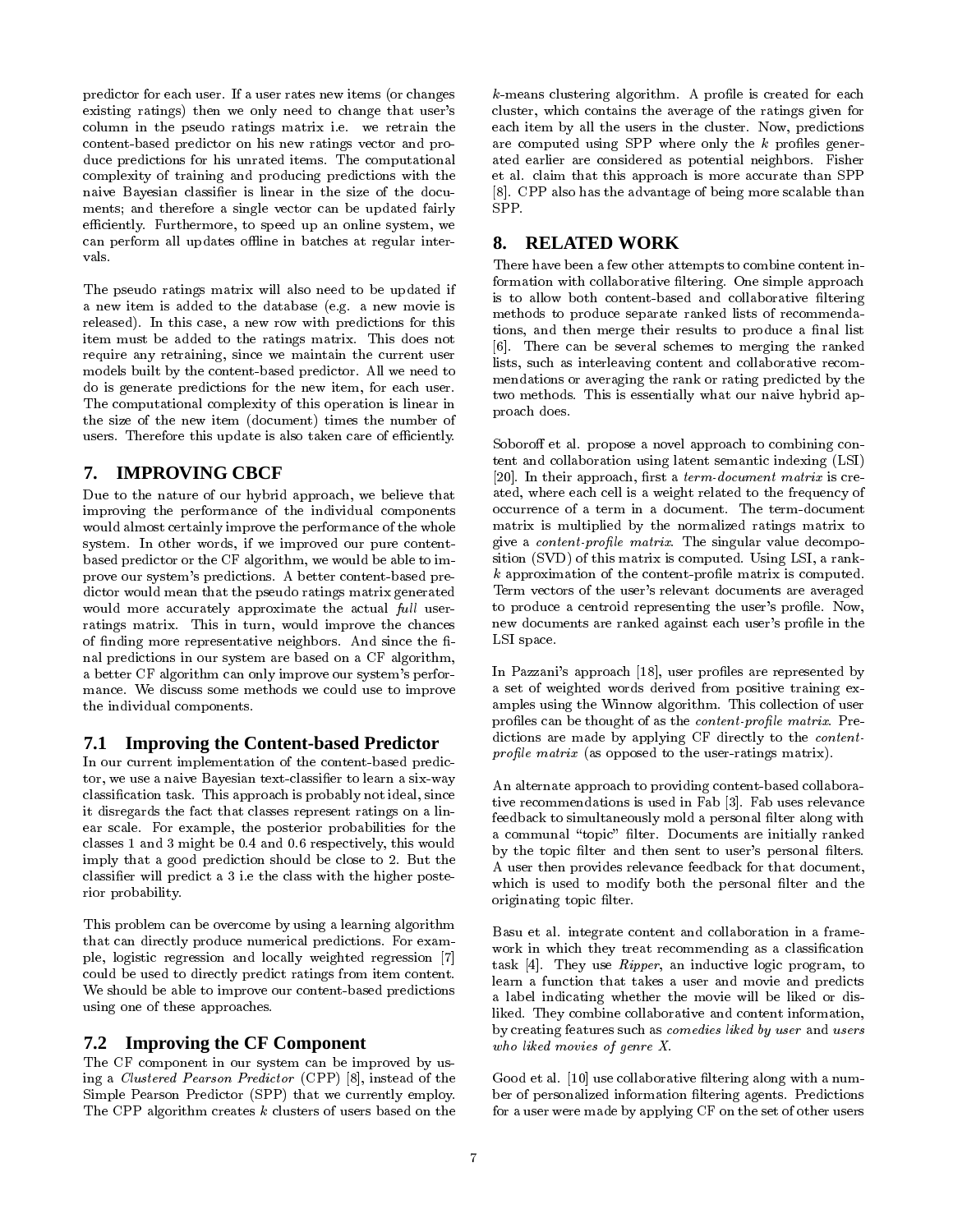predictor for each user. If a user rates new items (or changes existing ratings) then we only need to change that user's column in the pseudo ratings matrix i.e. we retrain the content-based predictor on his new ratings vector and produce predictions for his unrated items. The computational complexity of training and producing predictions with the naive Bayesian classifier is linear in the size of the documents; and therefore a single vector can be updated fairly SPP. efficiently. Furthermore, to speed up an online system, we can perform all updates offline in batches at regular inter- $\bf{8.}$ vals.

The pseudo ratings matrix will also need to be updated if a new item is added to the database (e.g. a new movie is released). In this case, a new row with predictions for this item must be added to the ratings matrix. This does not require any retraining, since we maintain the current user models built by the content-based predictor. All we need to do is generate predictions for the new item, for each user. The computational complexity of this operation is linear in the size of the new item (document) times the number of users. Therefore this update is also taken care of efficiently.

## **7. IMPROVING CBCF**

Due to the nature of our hybrid approach, we believe that improving the performance of the individual components would almost certainly improve the performance of the whole system. In other words, if we improved our pure contentbased predictor or the CF algorithm, we would be able to improve our system's predictions. A better content-based predictor would mean that the pseudo ratings matrix generated would more accurately approximate the actual full userratings matrix. This in turn, would improve the chances of finding more representative neighbors. And since the final predictions in our system are based on a CF algorithm, a better CF algorithm can only improve our system's perfor mance. We discuss some methods we could use to improve the individual components.

## **7.1 Improving the Content-based Predictor**

In our current implementation of the content-based predictor, we use a naive Bayesian text-classifier to learn a six-way classication task. This approach is probably not ideal, since it disregards the fact that classes represent ratings on a lin ear scale. For example, the posterior probabilities for the classes 1 and 3 might be 0.4 and 0.6 respectively, this would imply that a good prediction should be close to 2. But the classier will predict a 3 i.e the class with the higher posterior probability.

This problem can be overcome by using a learning algorithm that can directly produce numerical predictions. For exam ple, logistic regression and locally weighted regression [7] could be used to directly predict ratings from item content. We should be able to improve our content-based predictions using one of these approaches.

#### **7.2 Improving the CF Component**

The CF component in our system can be improved by using a Clustered Pearson Predictor (CPP) [8], instead of the Simple Pearson Predictor (SPP) that we currently employ. The CPP algorithm creates  $k$  clusters of users based on the  $k$ -means clustering algorithm. A profile is created for each cluster, which contains the average of the ratings given for each item by all the users in the cluster. Now, predictions are computed using SPP where only the  $k$  profiles generated earlier are considered as potential neighbors. Fisher et al. claim that this approach is more accurate than SPP [8]. CPP also has the advantage of being more scalable than

## **8. RELATED WORK**

There have been a few other attempts to combine content information with collaborative filtering. One simple approach is to allow both content-based and collaborative filtering methods to produce separate ranked lists of recommendations, and then merge their results to produce a final list [6]. There can be several schemes to merging the ranked lists, such as interleaving content and collaborative recom mendations or averaging the rank or rating predicted by the two methods. This is essentially what our naive hybrid approach does.

Soboroff et al. propose a novel approach to combining content and collaboration using latent semantic indexing (LSI) [20]. In their approach, first a *term-document matrix* is created, where each cell is a weight related to the frequency of occurrence of a term in a document. The term-document matrix is multiplied by the normalized ratings matrix to give a *content-profile matrix*. The singular value decomposition (SVD) of this matrix is computed. Using LSI, a rank $k$  approximation of the content-profile matrix is computed. Term vectors of the user's relevant documents are averaged to produce a centroid representing the user's profile. Now, new documents are ranked against each user's profile in the LSI space.

In Pazzani's approach [18], user profiles are represented by a set of weighted words derived from positive training examples using the Winnow algorithm. This collection of user profiles can be thought of as the *content-profile matrix*. Predictions are made by applying CF directly to the contentprofile matrix (as opposed to the user-ratings matrix).

An alternate approach to providing content-based collaborative recommendations is used in Fab [3]. Fab uses relevance feedback to simultaneously mold a personal filter along with a communal "topic" filter. Documents are initially ranked by the topic filter and then sent to user's personal filters. A user then provides relevance feedback for that document, which is used to modify both the personal filter and the originating topic filter.

Basu et al. integrate content and collaboration in a frame work in which they treat recommending as a classification task [4]. They use Ripper, an inductive logic program, to learn a function that takes a user and movie and predicts a label indicating whether the movie will be liked or disliked. They combine collaborative and content information, by creating features such as comedies liked by user and users who liked movies of genre X.

Good et al. [10] use collaborative filtering along with a number of personalized information ltering agents. Predictions for a user were made by applying CF on the set of other users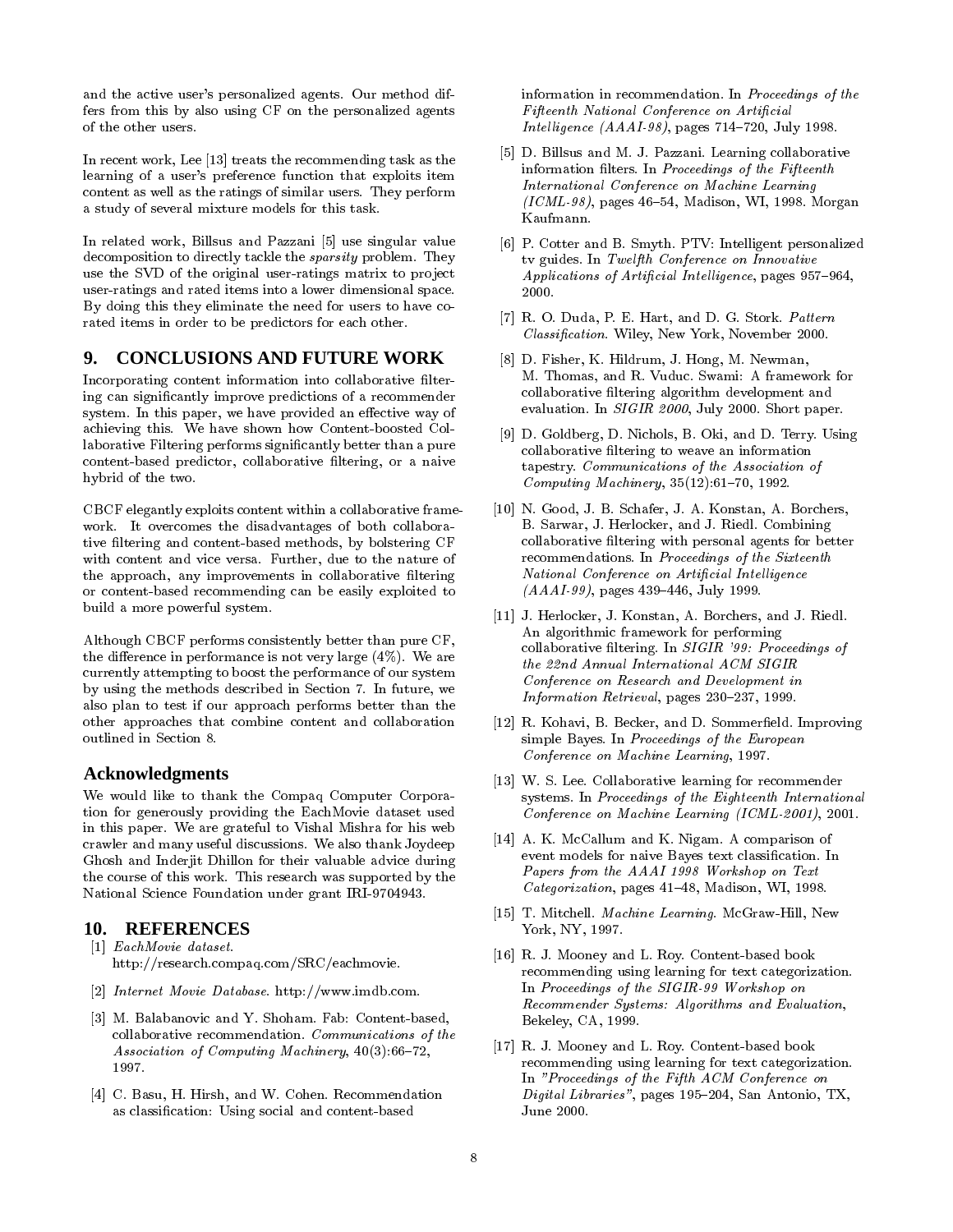and the active user's personalized agents. Our method differs from this by also using CF on the personalized agents of the other users.

In recent work, Lee [13] treats the recommending task as the learning of a user's preference function that exploits item content as well as the ratings of similar users. They perform a study of several mixture models for this task.

In related work, Billsus and Pazzani [5] use singular value decomposition to directly tackle the sparsity problem. They use the SVD of the original user-ratings matrix to project user-ratings and rated items into a lower dimensional space. By doing this they eliminate the need for users to have co rated items in order to be predictors for each other.

# **9. CONCLUSIONS AND FUTURE WORK**

Incorporating content information into collaborative filtering can signicantly improve predictions of a recommender system. In this paper, we have provided an effective way of achieving this. We have shown how Content-boosted Collaborative Filtering performs signicantly better than a pure content-based predictor, collaborative filtering, or a naive hybrid of the two.

CBCF elegantly exploits content within a collaborative frame work. It overcomes the disadvantages of both collaborative filtering and content-based methods, by bolstering CF with content and vice versa. Further, due to the nature of the approach, any improvements in collaborative filtering or content-based recommending can be easily exploited to build a more powerful system.

Although CBCF performs consistently better than pure CF, the difference in performance is not very large  $(4\%)$ . We are currently attempting to boost the performance of our system by using the methods described in Section 7. In future, we also plan to test if our approach performs better than the other approaches that combine content and collaboration outlined in Section 8.

#### **Acknowledgments**

We would like to thank the Compaq Computer Corporation for generously providing the EachMovie dataset used in this paper. We are grateful to Vishal Mishra for his web crawler and many useful discussions. We also thank Joydeep Ghosh and Inderjit Dhillon for their valuable advice during the course of this work. This research was supported by the National Science Foundation under grant IRI-9704943.

#### **10. REFERENCES**

- [1] EachMovie dataset. http://research.compaq.com/SRC/eachmovie.
- [2] Internet Movie Database. http://www.imdb.com.
- [3] M. Balabanovic and Y. Shoham. Fab: Content-based, collaborative recommendation. Communications of the Association of Computing Machinery,  $40(3):66-72$ , 1997.
- [4] C. Basu, H. Hirsh, and W. Cohen. Recommendation as classication: Using social and content-based

information in recommendation. In Proceedings of the Fifteenth National Conference on Articial Intelligence  $(AAAI-98)$ , pages 714-720, July 1998.

- [5] D. Billsus and M. J. Pazzani. Learning collaborative information filters. In Proceedings of the Fifteenth International Conference on Machine Learning  $(ICML-98)$ , pages 46-54, Madison, WI, 1998. Morgan Kaufmann.
- [6] P. Cotter and B. Smyth. PTV: Intelligent personalized tv guides. In Twelfth Conference on Innovative Applications of Artificial Intelligence, pages 957-964, 2000.
- [7] R. O. Duda, P. E. Hart, and D. G. Stork. Pattern Classication. Wiley, New York, November 2000.
- [8] D. Fisher, K. Hildrum, J. Hong, M. Newman, M. Thomas, and R. Vuduc. Swami: A framework for collaborative ltering algorithm development and evaluation. In SIGIR 2000, July 2000. Short paper.
- [9] D. Goldberg, D. Nichols, B. Oki, and D. Terry. Using collaborative filtering to weave an information tapestry. Communications of the Association of Computing Machinery,  $35(12):61-70$ , 1992.
- [10] N. Good, J. B. Schafer, J. A. Konstan, A. Borchers, B. Sarwar, J. Herlocker, and J. Riedl. Combining collaborative ltering with personal agents for better recommendations. In Proceedings of the Sixteenth National Conference on Artificial Intelligence  $(AAAI-99)$ , pages 439-446, July 1999.
- [11] J. Herlocker, J. Konstan, A. Borchers, and J. Riedl. An algorithmic framework for performing collaborative filtering. In SIGIR '99: Proceedings of the 22nd Annual International ACM SIGIR Conference on Research and Development in Information Retrieval, pages  $230-237$ , 1999.
- [12] R. Kohavi, B. Becker, and D. Sommerfield. Improving simple Bayes. In Proceedings of the European Conference on Machine Learning, 1997.
- [13] W. S. Lee. Collaborative learning for recommender systems. In Proceedings of the Eighteenth International Conference on Machine Learning (ICML-2001), 2001.
- [14] A. K. McCallum and K. Nigam. A comparison of event models for naive Bayes text classification. In Papers from the AAAI 1998 Workshop on Text  $Categoricalion$ , pages  $41–48$ , Madison, WI, 1998.
- [15] T. Mitchell. Machine Learning. McGraw-Hill, New York, NY, 1997.
- [16] R. J. Mooney and L. Roy. Content-based book recommending using learning for text categorization. In Proceedings of the SIGIR-99 Workshop on Recommender Systems: Algorithms and Evaluation, Bekeley, CA, 1999.
- [17] R. J. Mooney and L. Roy. Content-based book recommending using learning for text categorization. In "Proceedings of the Fifth ACM Conference on  $Digital~Libraries",$  pages 195–204, San Antonio, TX, June 2000.